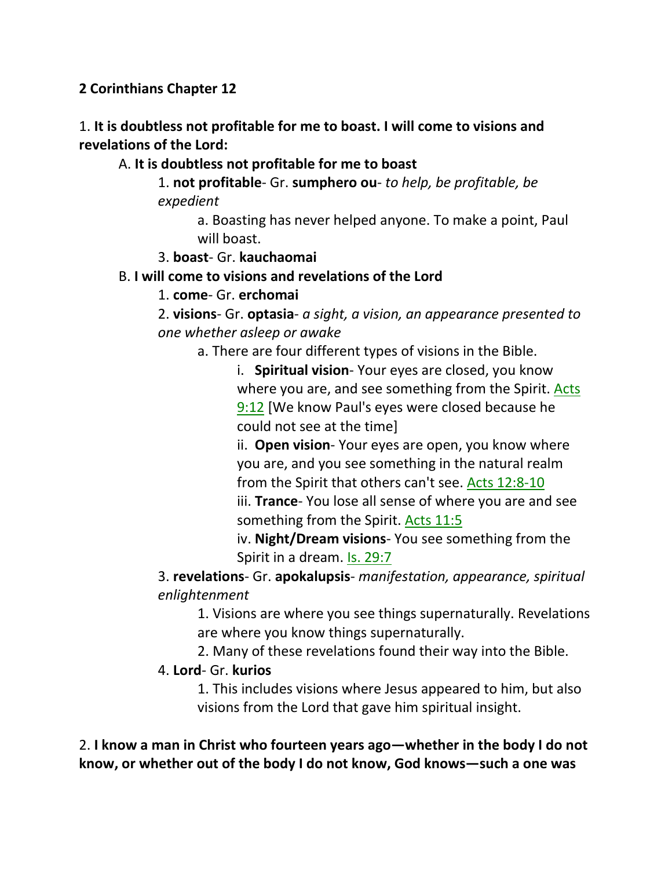**2 Corinthians Chapter 12**

1. **It is doubtless not profitable for me to boast. I will come to visions and revelations of the Lord:**

## A. **It is doubtless not profitable for me to boast**

1. **not profitable**- Gr. **sumphero ou**- *to help, be profitable, be expedient*

> a. Boasting has never helped anyone. To make a point, Paul will boast.

#### 3. **boast**- Gr. **kauchaomai**

#### B. **I will come to visions and revelations of the Lord**

#### 1. **come**- Gr. **erchomai**

2. **visions**- Gr. **optasia**- *a sight, a vision, an appearance presented to one whether asleep or awake*

a. There are four different types of visions in the Bible.

i. **Spiritual vision**- Your eyes are closed, you know where you are, and see something from the Spirit. Acts 9:12 [We know Paul's eyes were closed because he could not see at the time]

ii. **Open vision**- Your eyes are open, you know where you are, and you see something in the natural realm from the Spirit that others can't see. Acts 12:8-10 iii. **Trance**- You lose all sense of where you are and see something from the Spirit. Acts 11:5

iv. **Night/Dream visions**- You see something from the Spirit in a dream. Is. 29:7

3. **revelations**- Gr. **apokalupsis**- *manifestation, appearance, spiritual enlightenment*

1. Visions are where you see things supernaturally. Revelations are where you know things supernaturally.

2. Many of these revelations found their way into the Bible.

#### 4. **Lord**- Gr. **kurios**

1. This includes visions where Jesus appeared to him, but also visions from the Lord that gave him spiritual insight.

2. **I know a man in Christ who fourteen years ago—whether in the body I do not know, or whether out of the body I do not know, God knows—such a one was**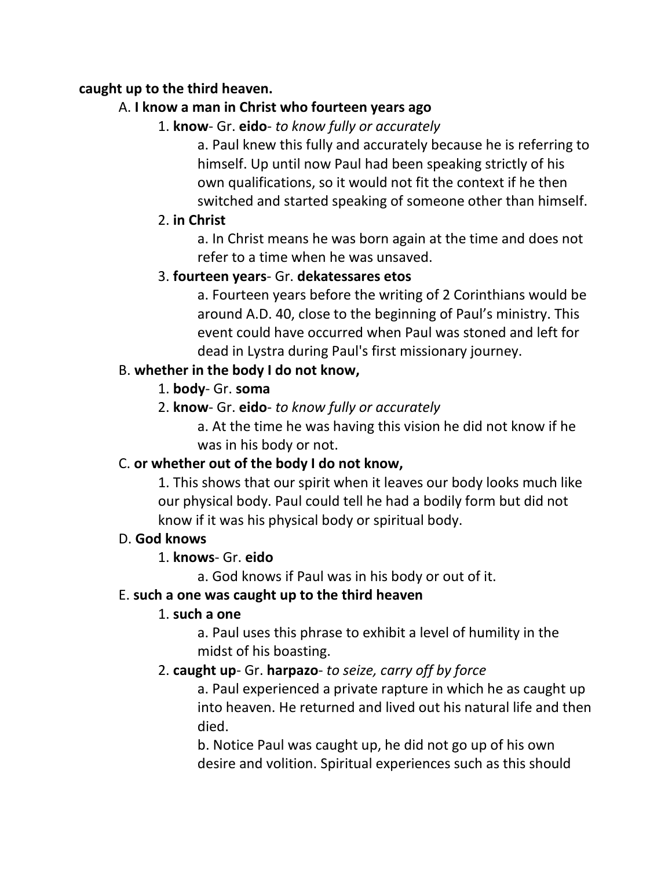#### **caught up to the third heaven.**

## A. **I know a man in Christ who fourteen years ago**

1. **know**- Gr. **eido**- *to know fully or accurately*

a. Paul knew this fully and accurately because he is referring to himself. Up until now Paul had been speaking strictly of his own qualifications, so it would not fit the context if he then switched and started speaking of someone other than himself.

## 2. **in Christ**

a. In Christ means he was born again at the time and does not refer to a time when he was unsaved.

## 3. **fourteen years**- Gr. **dekatessares etos**

a. Fourteen years before the writing of 2 Corinthians would be around A.D. 40, close to the beginning of Paul's ministry. This event could have occurred when Paul was stoned and left for dead in Lystra during Paul's first missionary journey.

# B. **whether in the body I do not know,**

- 1. **body** Gr. **soma**
- 2. **know** Gr. **eido** *to know fully or accurately*

a. At the time he was having this vision he did not know if he was in his body or not.

# C. **or whether out of the body I do not know,**

1. This shows that our spirit when it leaves our body looks much like our physical body. Paul could tell he had a bodily form but did not know if it was his physical body or spiritual body.

## D. **God knows**

# 1. **knows**- Gr. **eido**

a. God knows if Paul was in his body or out of it.

## E. **such a one was caught up to the third heaven**

# 1. **such a one**

a. Paul uses this phrase to exhibit a level of humility in the midst of his boasting.

# 2. **caught up**- Gr. **harpazo**- *to seize, carry off by force*

a. Paul experienced a private rapture in which he as caught up into heaven. He returned and lived out his natural life and then died.

b. Notice Paul was caught up, he did not go up of his own desire and volition. Spiritual experiences such as this should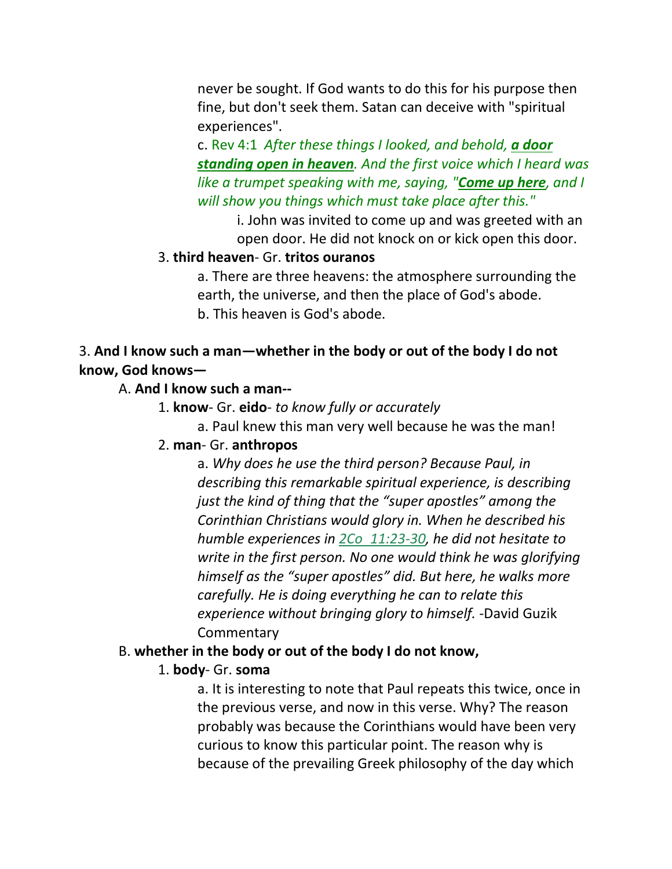never be sought. If God wants to do this for his purpose then fine, but don't seek them. Satan can deceive with "spiritual experiences".

c. Rev 4:1 *After these things I looked, and behold, a door standing open in heaven. And the first voice which I heard was like a trumpet speaking with me, saying, "Come up here, and I will show you things which must take place after this."* 

i. John was invited to come up and was greeted with an open door. He did not knock on or kick open this door.

#### 3. **third heaven**- Gr. **tritos ouranos**

a. There are three heavens: the atmosphere surrounding the earth, the universe, and then the place of God's abode. b. This heaven is God's abode.

#### 3. **And I know such a man—whether in the body or out of the body I do not know, God knows—**

#### A. **And I know such a man--**

- 1. **know** Gr. **eido** *to know fully or accurately*
	- a. Paul knew this man very well because he was the man!

#### 2. **man**- Gr. **anthropos**

a. *Why does he use the third person? Because Paul, in describing this remarkable spiritual experience, is describing just the kind of thing that the "super apostles" among the Corinthian Christians would glory in. When he described his humble experiences in 2Co\_11:23-30, he did not hesitate to write in the first person. No one would think he was glorifying himself as the "super apostles" did. But here, he walks more carefully. He is doing everything he can to relate this experience without bringing glory to himself.* -David Guzik **Commentary** 

#### B. **whether in the body or out of the body I do not know,**

#### 1. **body**- Gr. **soma**

a. It is interesting to note that Paul repeats this twice, once in the previous verse, and now in this verse. Why? The reason probably was because the Corinthians would have been very curious to know this particular point. The reason why is because of the prevailing Greek philosophy of the day which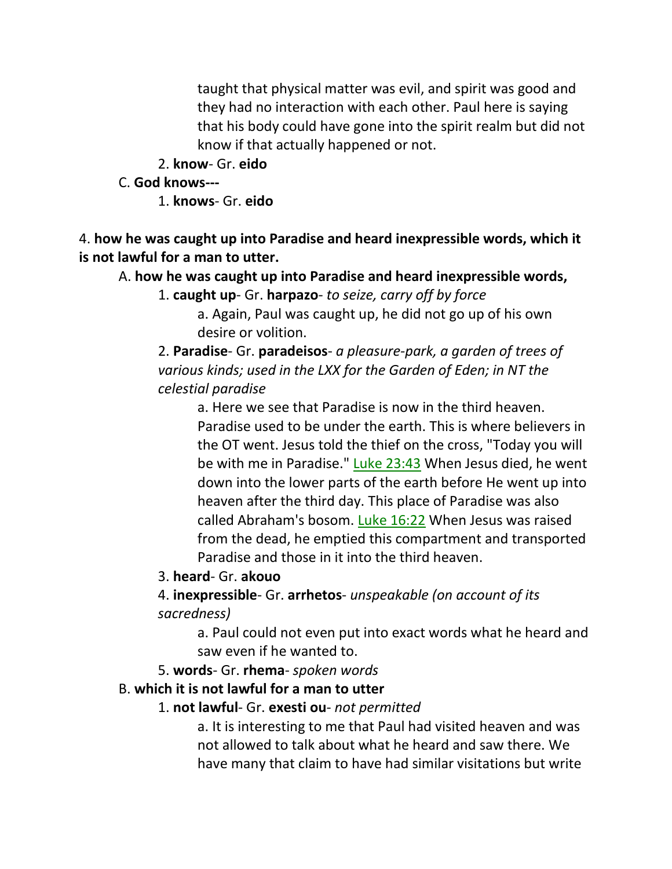taught that physical matter was evil, and spirit was good and they had no interaction with each other. Paul here is saying that his body could have gone into the spirit realm but did not know if that actually happened or not.

2. **know**- Gr. **eido**

#### C. **God knows---**

1. **knows**- Gr. **eido**

4. **how he was caught up into Paradise and heard inexpressible words, which it is not lawful for a man to utter.** 

A. **how he was caught up into Paradise and heard inexpressible words,**

1. **caught up**- Gr. **harpazo**- *to seize, carry off by force*

a. Again, Paul was caught up, he did not go up of his own desire or volition.

2. **Paradise**- Gr. **paradeisos**- *a pleasure-park, a garden of trees of various kinds; used in the LXX for the Garden of Eden; in NT the celestial paradise*

a. Here we see that Paradise is now in the third heaven. Paradise used to be under the earth. This is where believers in the OT went. Jesus told the thief on the cross, "Today you will be with me in Paradise." Luke 23:43 When Jesus died, he went down into the lower parts of the earth before He went up into heaven after the third day. This place of Paradise was also called Abraham's bosom. Luke 16:22 When Jesus was raised from the dead, he emptied this compartment and transported Paradise and those in it into the third heaven.

#### 3. **heard**- Gr. **akouo**

4. **inexpressible**- Gr. **arrhetos**- *unspeakable (on account of its sacredness)*

a. Paul could not even put into exact words what he heard and saw even if he wanted to.

5. **words**- Gr. **rhema**- *spoken words*

#### B. **which it is not lawful for a man to utter**

#### 1. **not lawful**- Gr. **exesti ou**- *not permitted*

a. It is interesting to me that Paul had visited heaven and was not allowed to talk about what he heard and saw there. We have many that claim to have had similar visitations but write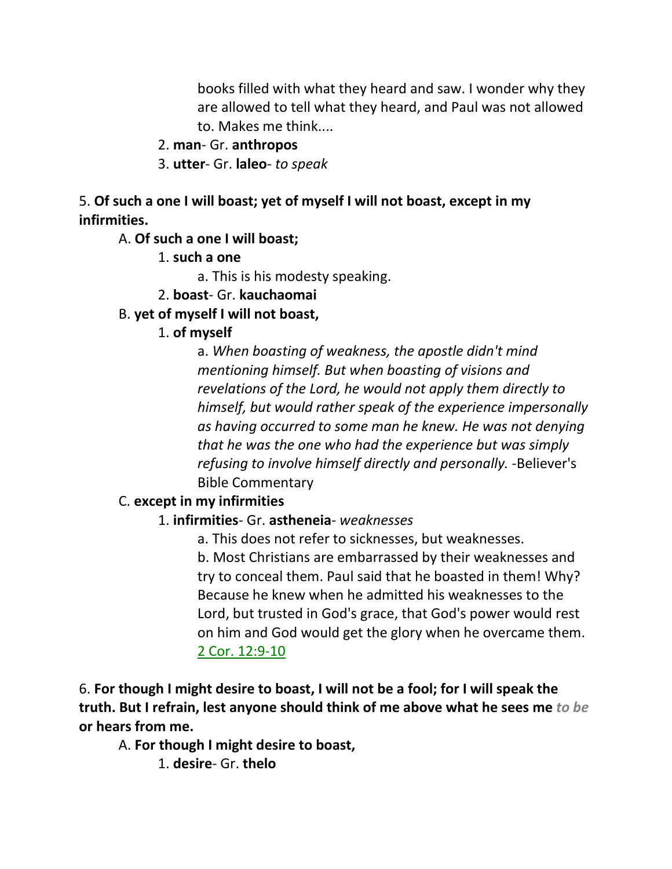books filled with what they heard and saw. I wonder why they are allowed to tell what they heard, and Paul was not allowed to. Makes me think....

#### 2. **man**- Gr. **anthropos**

3. **utter**- Gr. **laleo**- *to speak*

5. **Of such a one I will boast; yet of myself I will not boast, except in my infirmities.** 

A. **Of such a one I will boast;**

1. **such a one**

a. This is his modesty speaking.

#### 2. **boast**- Gr. **kauchaomai**

#### B. **yet of myself I will not boast,**

1. **of myself**

a. *When boasting of weakness, the apostle didn't mind mentioning himself. But when boasting of visions and revelations of the Lord, he would not apply them directly to himself, but would rather speak of the experience impersonally as having occurred to some man he knew. He was not denying that he was the one who had the experience but was simply refusing to involve himself directly and personally.* -Believer's Bible Commentary

#### C. **except in my infirmities**

#### 1. **infirmities**- Gr. **astheneia**- *weaknesses*

a. This does not refer to sicknesses, but weaknesses.

b. Most Christians are embarrassed by their weaknesses and try to conceal them. Paul said that he boasted in them! Why? Because he knew when he admitted his weaknesses to the Lord, but trusted in God's grace, that God's power would rest on him and God would get the glory when he overcame them. 2 Cor. 12:9-10

6. **For though I might desire to boast, I will not be a fool; for I will speak the truth. But I refrain, lest anyone should think of me above what he sees me** *to be* **or hears from me.** 

A. **For though I might desire to boast,**

1. **desire**- Gr. **thelo**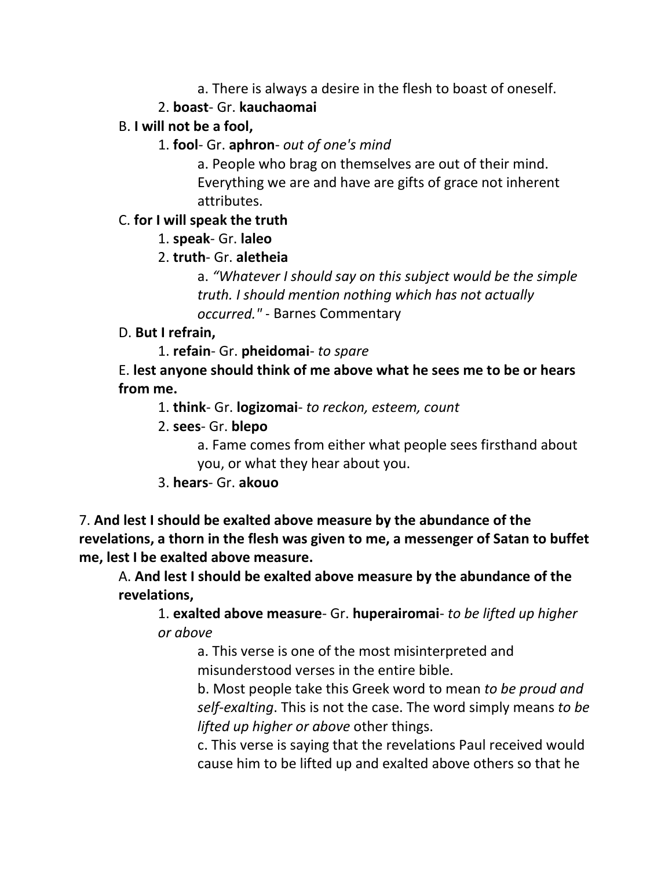a. There is always a desire in the flesh to boast of oneself.

## 2. **boast**- Gr. **kauchaomai**

## B. **I will not be a fool,**

1. **fool**- Gr. **aphron**- *out of one's mind*

a. People who brag on themselves are out of their mind. Everything we are and have are gifts of grace not inherent attributes.

## C. **for I will speak the truth**

1. **speak**- Gr. **laleo**

## 2. **truth**- Gr. **aletheia**

a. *"Whatever I should say on this subject would be the simple truth. I should mention nothing which has not actually occurred."* - Barnes Commentary

## D. **But I refrain,**

1. **refain**- Gr. **pheidomai**- *to spare*

E. **lest anyone should think of me above what he sees me to be or hears from me.**

1. **think**- Gr. **logizomai**- *to reckon, esteem, count*

2. **sees**- Gr. **blepo**

a. Fame comes from either what people sees firsthand about you, or what they hear about you.

3. **hears**- Gr. **akouo**

7. **And lest I should be exalted above measure by the abundance of the revelations, a thorn in the flesh was given to me, a messenger of Satan to buffet me, lest I be exalted above measure.** 

A. **And lest I should be exalted above measure by the abundance of the revelations,**

1. **exalted above measure**- Gr. **huperairomai**- *to be lifted up higher or above*

a. This verse is one of the most misinterpreted and misunderstood verses in the entire bible.

b. Most people take this Greek word to mean *to be proud and self-exalting*. This is not the case. The word simply means *to be lifted up higher or above* other things.

c. This verse is saying that the revelations Paul received would cause him to be lifted up and exalted above others so that he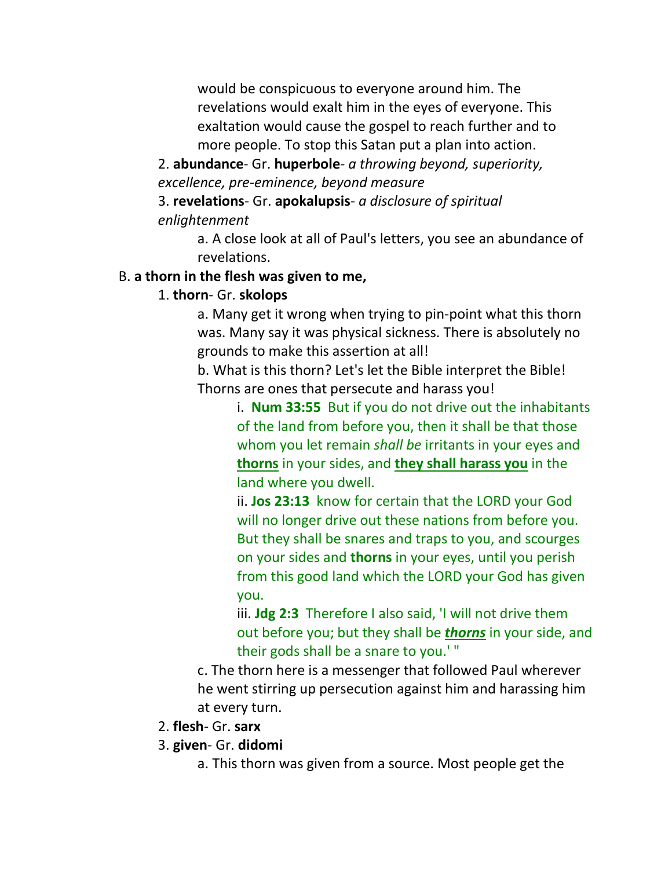would be conspicuous to everyone around him. The revelations would exalt him in the eyes of everyone. This exaltation would cause the gospel to reach further and to more people. To stop this Satan put a plan into action.

2. **abundance**- Gr. **huperbole**- *a throwing beyond, superiority, excellence, pre-eminence, beyond measure*

3. **revelations**- Gr. **apokalupsis**- *a disclosure of spiritual enlightenment*

> a. A close look at all of Paul's letters, you see an abundance of revelations.

#### B. **a thorn in the flesh was given to me,**

#### 1. **thorn**- Gr. **skolops**

a. Many get it wrong when trying to pin-point what this thorn was. Many say it was physical sickness. There is absolutely no grounds to make this assertion at all!

b. What is this thorn? Let's let the Bible interpret the Bible! Thorns are ones that persecute and harass you!

> i. **Num 33:55** But if you do not drive out the inhabitants of the land from before you, then it shall be that those whom you let remain *shall be* irritants in your eyes and **thorns** in your sides, and **they shall harass you** in the land where you dwell.

ii. **Jos 23:13** know for certain that the LORD your God will no longer drive out these nations from before you. But they shall be snares and traps to you, and scourges on your sides and **thorns** in your eyes, until you perish from this good land which the LORD your God has given you.

iii. **Jdg 2:3** Therefore I also said, 'I will not drive them out before you; but they shall be *thorns* in your side, and their gods shall be a snare to you.' "

c. The thorn here is a messenger that followed Paul wherever he went stirring up persecution against him and harassing him at every turn.

- 2. **flesh** Gr. **sarx**
- 3. **given** Gr. **didomi**
	- a. This thorn was given from a source. Most people get the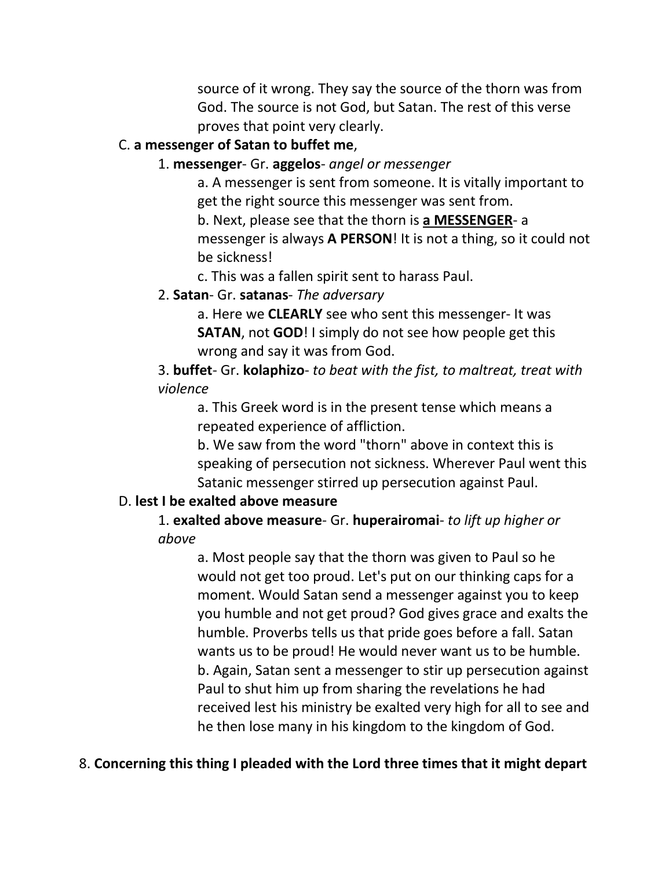source of it wrong. They say the source of the thorn was from God. The source is not God, but Satan. The rest of this verse proves that point very clearly.

#### C. **a messenger of Satan to buffet me**,

#### 1. **messenger**- Gr. **aggelos**- *angel or messenger*

a. A messenger is sent from someone. It is vitally important to get the right source this messenger was sent from. b. Next, please see that the thorn is **a MESSENGER**- a messenger is always **A PERSON**! It is not a thing, so it could not be sickness!

c. This was a fallen spirit sent to harass Paul.

#### 2. **Satan**- Gr. **satanas**- *The adversary*

a. Here we **CLEARLY** see who sent this messenger- It was **SATAN**, not **GOD**! I simply do not see how people get this wrong and say it was from God.

3. **buffet**- Gr. **kolaphizo**- *to beat with the fist, to maltreat, treat with violence*

a. This Greek word is in the present tense which means a repeated experience of affliction.

b. We saw from the word "thorn" above in context this is speaking of persecution not sickness. Wherever Paul went this Satanic messenger stirred up persecution against Paul.

## D. **lest I be exalted above measure**

1. **exalted above measure**- Gr. **huperairomai**- *to lift up higher or above*

> a. Most people say that the thorn was given to Paul so he would not get too proud. Let's put on our thinking caps for a moment. Would Satan send a messenger against you to keep you humble and not get proud? God gives grace and exalts the humble. Proverbs tells us that pride goes before a fall. Satan wants us to be proud! He would never want us to be humble. b. Again, Satan sent a messenger to stir up persecution against Paul to shut him up from sharing the revelations he had received lest his ministry be exalted very high for all to see and he then lose many in his kingdom to the kingdom of God.

## 8. **Concerning this thing I pleaded with the Lord three times that it might depart**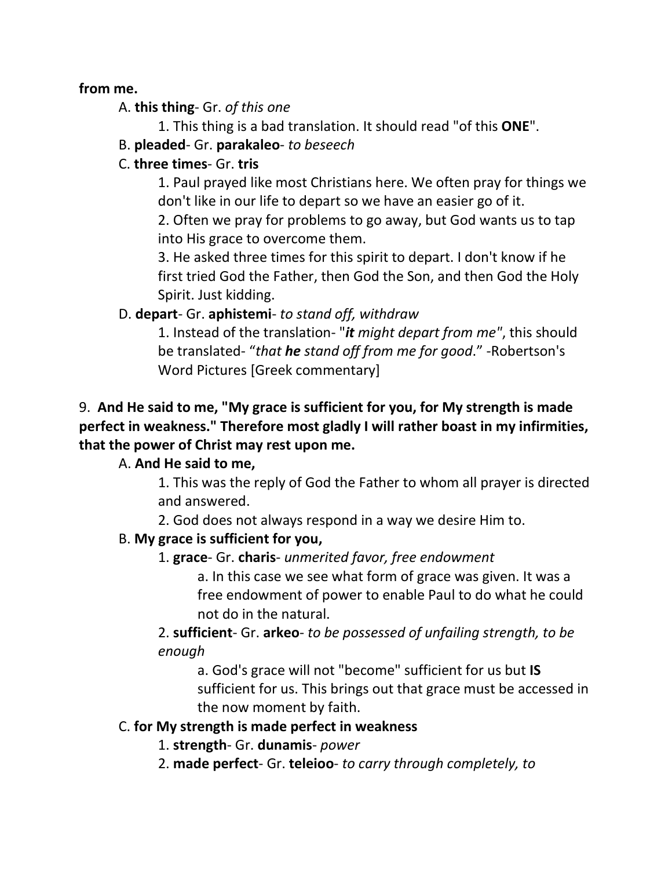#### **from me.**

A. **this thing**- Gr. *of this one*

1. This thing is a bad translation. It should read "of this **ONE**".

B. **pleaded**- Gr. **parakaleo**- *to beseech*

## C. **three times**- Gr. **tris**

1. Paul prayed like most Christians here. We often pray for things we don't like in our life to depart so we have an easier go of it.

2. Often we pray for problems to go away, but God wants us to tap into His grace to overcome them.

3. He asked three times for this spirit to depart. I don't know if he first tried God the Father, then God the Son, and then God the Holy Spirit. Just kidding.

## D. **depart**- Gr. **aphistemi**- *to stand off, withdraw*

1. Instead of the translation- "*it might depart from me"*, this should be translated- "*that he stand off from me for good*." -Robertson's Word Pictures [Greek commentary]

# 9. **And He said to me, "My grace is sufficient for you, for My strength is made perfect in weakness." Therefore most gladly I will rather boast in my infirmities, that the power of Christ may rest upon me.**

# A. **And He said to me,**

1. This was the reply of God the Father to whom all prayer is directed and answered.

2. God does not always respond in a way we desire Him to.

## B. **My grace is sufficient for you,**

## 1. **grace**- Gr. **charis**- *unmerited favor, free endowment*

a. In this case we see what form of grace was given. It was a free endowment of power to enable Paul to do what he could not do in the natural.

2. **sufficient**- Gr. **arkeo**- *to be possessed of unfailing strength, to be enough*

a. God's grace will not "become" sufficient for us but **IS** sufficient for us. This brings out that grace must be accessed in the now moment by faith.

## C. **for My strength is made perfect in weakness**

- 1. **strength** Gr. **dunamis** *power*
- 2. **made perfect** Gr. **teleioo** *to carry through completely, to*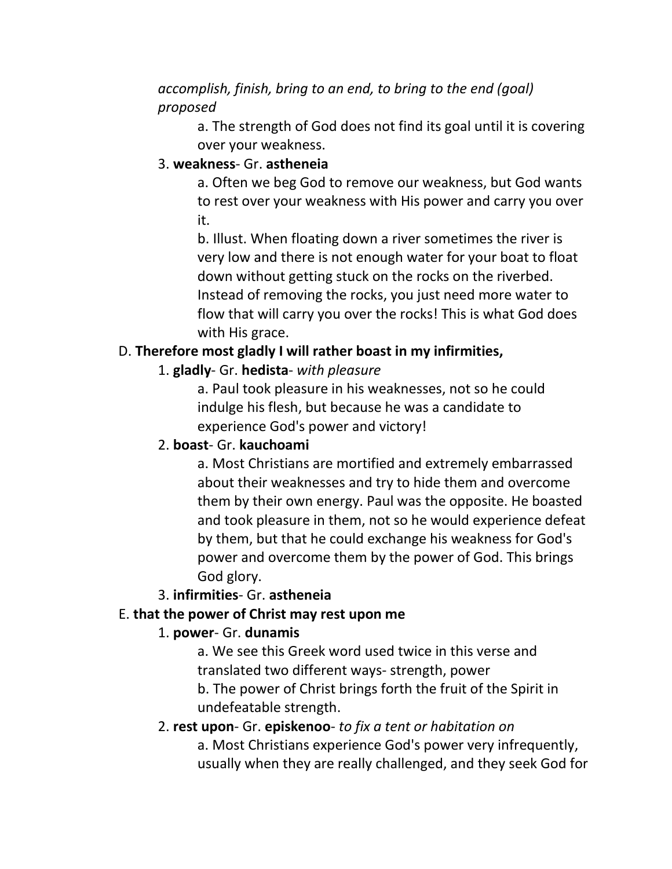## *accomplish, finish, bring to an end, to bring to the end (goal) proposed*

a. The strength of God does not find its goal until it is covering over your weakness.

#### 3. **weakness**- Gr. **astheneia**

a. Often we beg God to remove our weakness, but God wants to rest over your weakness with His power and carry you over it.

b. Illust. When floating down a river sometimes the river is very low and there is not enough water for your boat to float down without getting stuck on the rocks on the riverbed. Instead of removing the rocks, you just need more water to flow that will carry you over the rocks! This is what God does with His grace.

## D. **Therefore most gladly I will rather boast in my infirmities,**

## 1. **gladly**- Gr. **hedista**- *with pleasure*

a. Paul took pleasure in his weaknesses, not so he could indulge his flesh, but because he was a candidate to experience God's power and victory!

## 2. **boast**- Gr. **kauchoami**

a. Most Christians are mortified and extremely embarrassed about their weaknesses and try to hide them and overcome them by their own energy. Paul was the opposite. He boasted and took pleasure in them, not so he would experience defeat by them, but that he could exchange his weakness for God's power and overcome them by the power of God. This brings God glory.

## 3. **infirmities**- Gr. **astheneia**

## E. **that the power of Christ may rest upon me**

#### 1. **power**- Gr. **dunamis**

a. We see this Greek word used twice in this verse and translated two different ways- strength, power

b. The power of Christ brings forth the fruit of the Spirit in undefeatable strength.

#### 2. **rest upon**- Gr. **episkenoo**- *to fix a tent or habitation on*

a. Most Christians experience God's power very infrequently, usually when they are really challenged, and they seek God for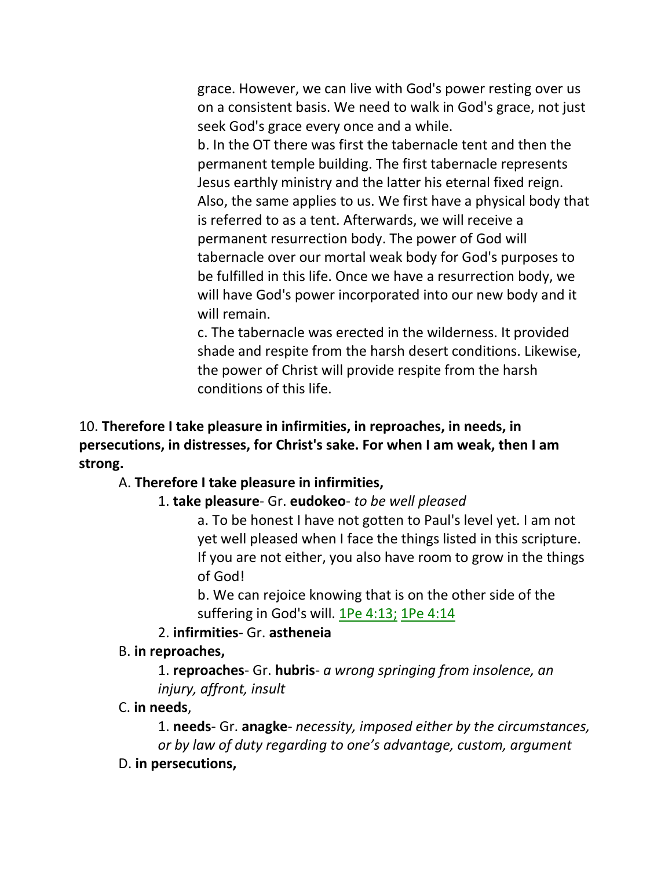grace. However, we can live with God's power resting over us on a consistent basis. We need to walk in God's grace, not just seek God's grace every once and a while.

b. In the OT there was first the tabernacle tent and then the permanent temple building. The first tabernacle represents Jesus earthly ministry and the latter his eternal fixed reign. Also, the same applies to us. We first have a physical body that is referred to as a tent. Afterwards, we will receive a permanent resurrection body. The power of God will tabernacle over our mortal weak body for God's purposes to be fulfilled in this life. Once we have a resurrection body, we will have God's power incorporated into our new body and it will remain.

c. The tabernacle was erected in the wilderness. It provided shade and respite from the harsh desert conditions. Likewise, the power of Christ will provide respite from the harsh conditions of this life.

10. **Therefore I take pleasure in infirmities, in reproaches, in needs, in persecutions, in distresses, for Christ's sake. For when I am weak, then I am strong.** 

#### A. **Therefore I take pleasure in infirmities,**

#### 1. **take pleasure**- Gr. **eudokeo**- *to be well pleased*

a. To be honest I have not gotten to Paul's level yet. I am not yet well pleased when I face the things listed in this scripture. If you are not either, you also have room to grow in the things of God!

b. We can rejoice knowing that is on the other side of the suffering in God's will. 1Pe 4:13; 1Pe 4:14

#### 2. **infirmities**- Gr. **astheneia**

#### B. **in reproaches,**

1. **reproaches**- Gr. **hubris**- *a wrong springing from insolence, an injury, affront, insult*

#### C. **in needs**,

1. **needs**- Gr. **anagke**- *necessity, imposed either by the circumstances, or by law of duty regarding to one's advantage, custom, argument*

D. **in persecutions,**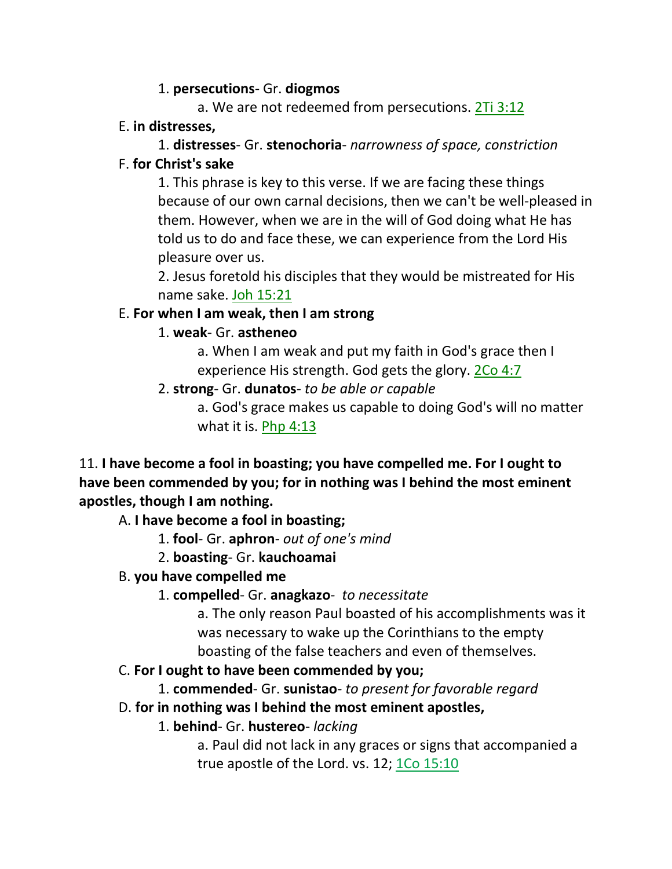#### 1. **persecutions**- Gr. **diogmos**

a. We are not redeemed from persecutions. 2Ti 3:12

#### E. **in distresses,**

#### 1. **distresses**- Gr. **stenochoria**- *narrowness of space, constriction*

## F. **for Christ's sake**

1. This phrase is key to this verse. If we are facing these things because of our own carnal decisions, then we can't be well-pleased in them. However, when we are in the will of God doing what He has told us to do and face these, we can experience from the Lord His pleasure over us.

2. Jesus foretold his disciples that they would be mistreated for His name sake. Joh 15:21

## E. **For when I am weak, then I am strong**

## 1. **weak**- Gr. **astheneo**

a. When I am weak and put my faith in God's grace then I experience His strength. God gets the glory. 2Co 4:7

## 2. **strong**- Gr. **dunatos**- *to be able or capable*

a. God's grace makes us capable to doing God's will no matter what it is. Php 4:13

11. **I have become a fool in boasting; you have compelled me. For I ought to have been commended by you; for in nothing was I behind the most eminent apostles, though I am nothing.**

## A. **I have become a fool in boasting;**

- 1. **fool** Gr. **aphron** *out of one's mind*
- 2. **boasting** Gr. **kauchoamai**

# B. **you have compelled me**

1. **compelled**- Gr. **anagkazo**- *to necessitate*

a. The only reason Paul boasted of his accomplishments was it was necessary to wake up the Corinthians to the empty boasting of the false teachers and even of themselves.

## C. **For I ought to have been commended by you;**

- 1. **commended** Gr. **sunistao** *to present for favorable regard*
- D. **for in nothing was I behind the most eminent apostles,**
	- 1. **behind** Gr. **hustereo** *lacking*

a. Paul did not lack in any graces or signs that accompanied a true apostle of the Lord. vs. 12; 1Co 15:10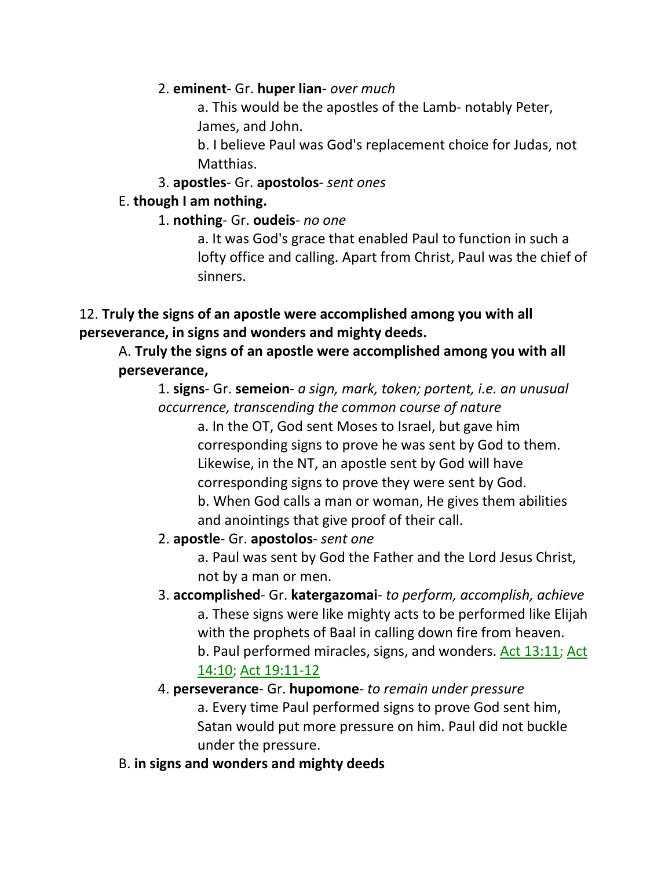#### 2. **eminent**- Gr. **huper lian**- *over much*

a. This would be the apostles of the Lamb- notably Peter, James, and John.

b. I believe Paul was God's replacement choice for Judas, not Matthias.

#### 3. **apostles**- Gr. **apostolos**- *sent ones*

#### E. **though I am nothing.**

#### 1. **nothing**- Gr. **oudeis**- *no one*

a. It was God's grace that enabled Paul to function in such a lofty office and calling. Apart from Christ, Paul was the chief of sinners.

## 12. **Truly the signs of an apostle were accomplished among you with all perseverance, in signs and wonders and mighty deeds.**

# A. **Truly the signs of an apostle were accomplished among you with all perseverance,**

1. **signs**- Gr. **semeion**- *a sign, mark, token; portent, i.e. an unusual occurrence, transcending the common course of nature*

a. In the OT, God sent Moses to Israel, but gave him corresponding signs to prove he was sent by God to them. Likewise, in the NT, an apostle sent by God will have corresponding signs to prove they were sent by God. b. When God calls a man or woman, He gives them abilities and anointings that give proof of their call.

## 2. **apostle**- Gr. **apostolos**- *sent one*

a. Paul was sent by God the Father and the Lord Jesus Christ, not by a man or men.

3. **accomplished**- Gr. **katergazomai**- *to perform, accomplish, achieve* a. These signs were like mighty acts to be performed like Elijah with the prophets of Baal in calling down fire from heaven. b. Paul performed miracles, signs, and wonders. Act 13:11; Act 14:10; Act 19:11-12

#### 4. **perseverance**- Gr. **hupomone**- *to remain under pressure* a. Every time Paul performed signs to prove God sent him, Satan would put more pressure on him. Paul did not buckle under the pressure.

## B. **in signs and wonders and mighty deeds**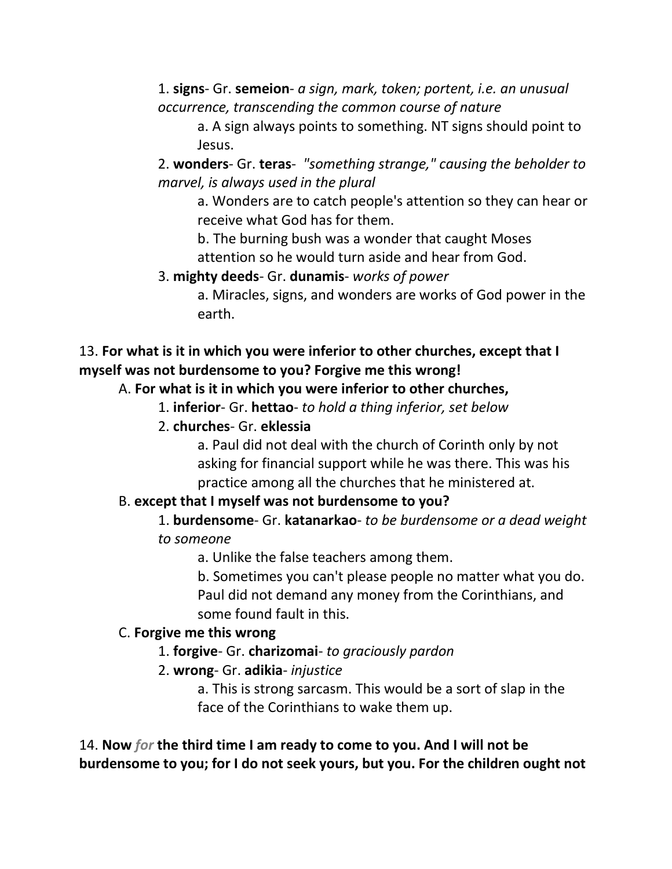1. **signs**- Gr. **semeion**- *a sign, mark, token; portent, i.e. an unusual occurrence, transcending the common course of nature*

a. A sign always points to something. NT signs should point to Jesus.

2. **wonders**- Gr. **teras**- *"something strange," causing the beholder to marvel, is always used in the plural*

a. Wonders are to catch people's attention so they can hear or receive what God has for them.

b. The burning bush was a wonder that caught Moses attention so he would turn aside and hear from God.

3. **mighty deeds**- Gr. **dunamis**- *works of power*

a. Miracles, signs, and wonders are works of God power in the earth.

## 13. **For what is it in which you were inferior to other churches, except that I myself was not burdensome to you? Forgive me this wrong!**

## A. **For what is it in which you were inferior to other churches,**

- 1. **inferior** Gr. **hettao** *to hold a thing inferior, set below*
- 2. **churches** Gr. **eklessia**

a. Paul did not deal with the church of Corinth only by not asking for financial support while he was there. This was his practice among all the churches that he ministered at.

# B. **except that I myself was not burdensome to you?**

1. **burdensome**- Gr. **katanarkao**- *to be burdensome or a dead weight to someone* 

a. Unlike the false teachers among them.

b. Sometimes you can't please people no matter what you do. Paul did not demand any money from the Corinthians, and some found fault in this.

## C. **Forgive me this wrong**

- 1. **forgive** Gr. **charizomai** *to graciously pardon*
- 2. **wrong** Gr. **adikia** *injustice*

a. This is strong sarcasm. This would be a sort of slap in the face of the Corinthians to wake them up.

14. **Now** *for* **the third time I am ready to come to you. And I will not be burdensome to you; for I do not seek yours, but you. For the children ought not**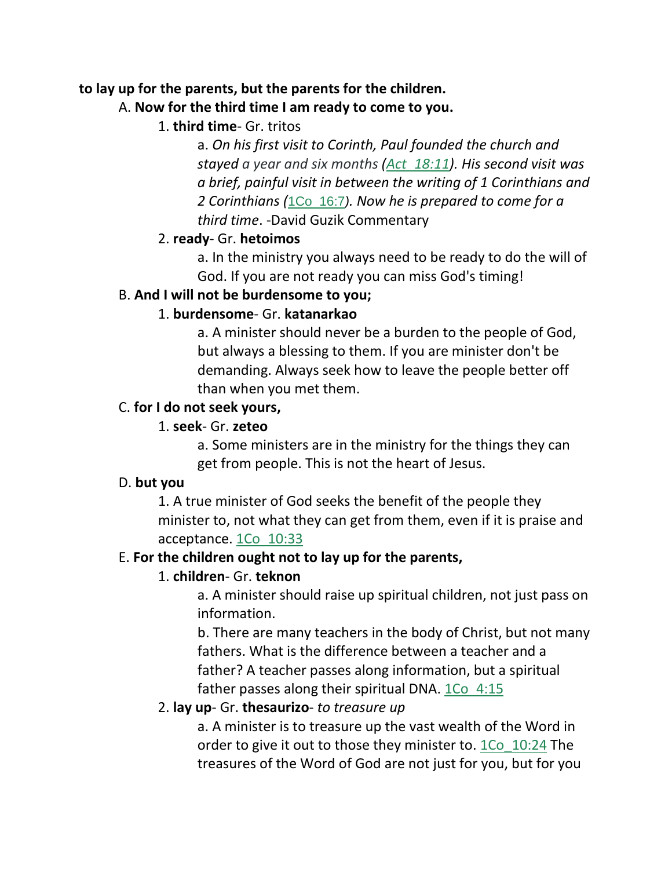#### **to lay up for the parents, but the parents for the children.**

## A. **Now for the third time I am ready to come to you.**

1. **third time**- Gr. tritos

a. *On his first visit to Corinth, Paul founded the church and stayed a year and six months (Act\_18:11). His second visit was a brief, painful visit in between the writing of 1 Corinthians and 2 Corinthians (*1Co\_16:7*). Now he is prepared to come for a third time*. -David Guzik Commentary

#### 2. **ready**- Gr. **hetoimos**

a. In the ministry you always need to be ready to do the will of God. If you are not ready you can miss God's timing!

## B. **And I will not be burdensome to you;**

## 1. **burdensome**- Gr. **katanarkao**

a. A minister should never be a burden to the people of God, but always a blessing to them. If you are minister don't be demanding. Always seek how to leave the people better off than when you met them.

#### C. **for I do not seek yours,**

#### 1. **seek**- Gr. **zeteo**

a. Some ministers are in the ministry for the things they can get from people. This is not the heart of Jesus.

#### D. **but you**

1. A true minister of God seeks the benefit of the people they minister to, not what they can get from them, even if it is praise and acceptance. 1Co\_10:33

## E. **For the children ought not to lay up for the parents,**

## 1. **children**- Gr. **teknon**

a. A minister should raise up spiritual children, not just pass on information.

b. There are many teachers in the body of Christ, but not many fathers. What is the difference between a teacher and a father? A teacher passes along information, but a spiritual father passes along their spiritual DNA. 1Co 4:15

## 2. **lay up**- Gr. **thesaurizo**- *to treasure up*

a. A minister is to treasure up the vast wealth of the Word in order to give it out to those they minister to. 1Co\_10:24 The treasures of the Word of God are not just for you, but for you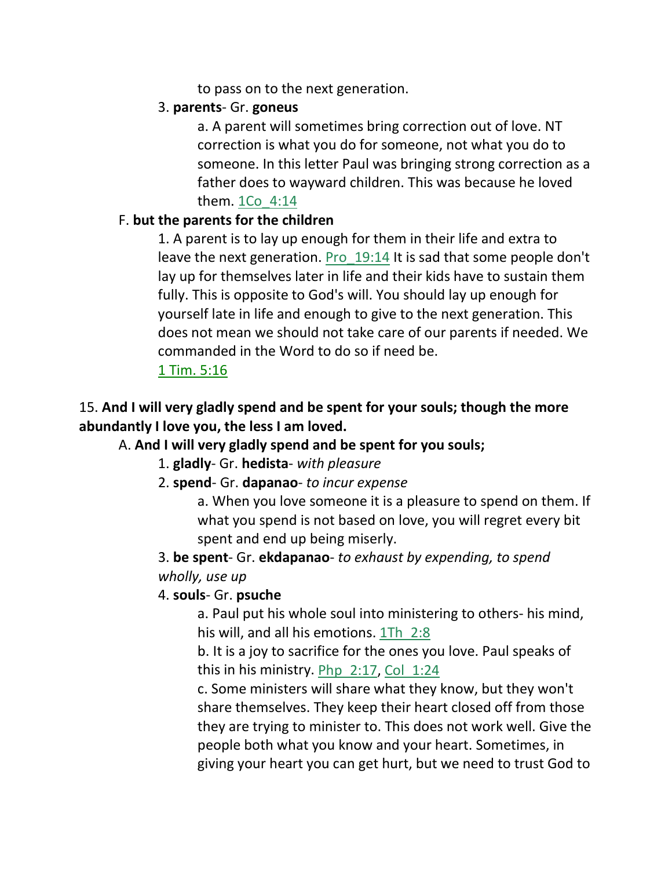to pass on to the next generation.

## 3. **parents**- Gr. **goneus**

a. A parent will sometimes bring correction out of love. NT correction is what you do for someone, not what you do to someone. In this letter Paul was bringing strong correction as a father does to wayward children. This was because he loved them. 1Co\_4:14

## F. **but the parents for the children**

1. A parent is to lay up enough for them in their life and extra to leave the next generation. Pro\_19:14 It is sad that some people don't lay up for themselves later in life and their kids have to sustain them fully. This is opposite to God's will. You should lay up enough for yourself late in life and enough to give to the next generation. This does not mean we should not take care of our parents if needed. We commanded in the Word to do so if need be.

## 1 Tim. 5:16

# 15. **And I will very gladly spend and be spent for your souls; though the more abundantly I love you, the less I am loved.**

# A. **And I will very gladly spend and be spent for you souls;**

1. **gladly**- Gr. **hedista**- *with pleasure*

## 2. **spend**- Gr. **dapanao**- *to incur expense*

a. When you love someone it is a pleasure to spend on them. If what you spend is not based on love, you will regret every bit spent and end up being miserly.

# 3. **be spent**- Gr. **ekdapanao**- *to exhaust by expending, to spend wholly, use up*

## 4. **souls**- Gr. **psuche**

a. Paul put his whole soul into ministering to others- his mind, his will, and all his emotions.  $1Th$   $2:8$ 

b. It is a joy to sacrifice for the ones you love. Paul speaks of this in his ministry. Php\_2:17, Col\_1:24

c. Some ministers will share what they know, but they won't share themselves. They keep their heart closed off from those they are trying to minister to. This does not work well. Give the people both what you know and your heart. Sometimes, in giving your heart you can get hurt, but we need to trust God to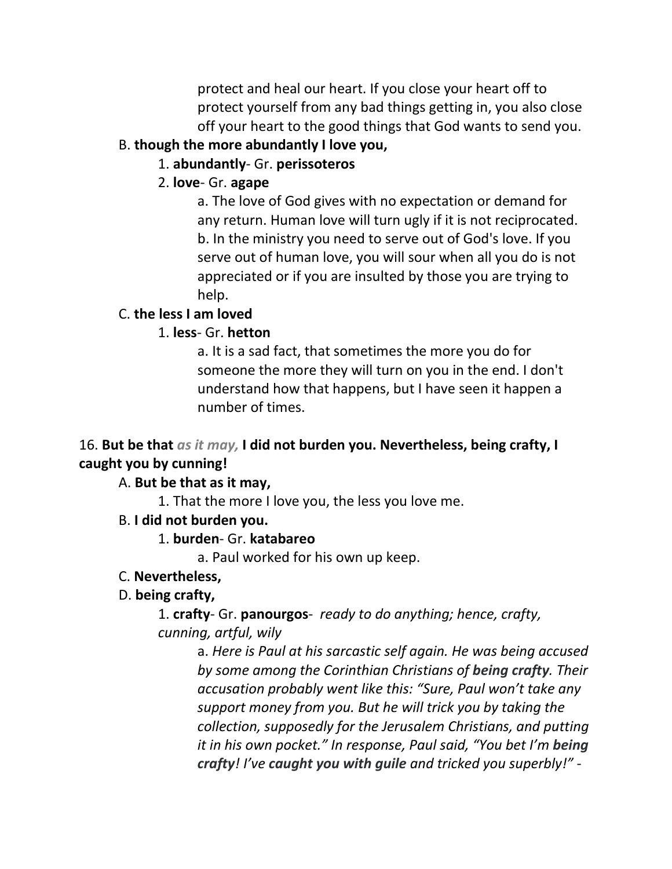protect and heal our heart. If you close your heart off to protect yourself from any bad things getting in, you also close off your heart to the good things that God wants to send you.

## B. **though the more abundantly I love you,**

## 1. **abundantly**- Gr. **perissoteros**

## 2. **love**- Gr. **agape**

a. The love of God gives with no expectation or demand for any return. Human love will turn ugly if it is not reciprocated. b. In the ministry you need to serve out of God's love. If you serve out of human love, you will sour when all you do is not appreciated or if you are insulted by those you are trying to help.

# C. **the less I am loved**

# 1. **less**- Gr. **hetton**

a. It is a sad fact, that sometimes the more you do for someone the more they will turn on you in the end. I don't understand how that happens, but I have seen it happen a number of times.

# 16. **But be that** *as it may,* **I did not burden you. Nevertheless, being crafty, I caught you by cunning!**

# A. **But be that as it may,**

1. That the more I love you, the less you love me.

# B. **I did not burden you.**

1. **burden**- Gr. **katabareo**

a. Paul worked for his own up keep.

## C. **Nevertheless,**

# D. **being crafty,**

1. **crafty**- Gr. **panourgos**- *ready to do anything; hence, crafty, cunning, artful, wily*

> a. *Here is Paul at his sarcastic self again. He was being accused by some among the Corinthian Christians of being crafty. Their accusation probably went like this: "Sure, Paul won't take any support money from you. But he will trick you by taking the collection, supposedly for the Jerusalem Christians, and putting it in his own pocket." In response, Paul said, "You bet I'm being crafty! I've caught you with guile and tricked you superbly!"* -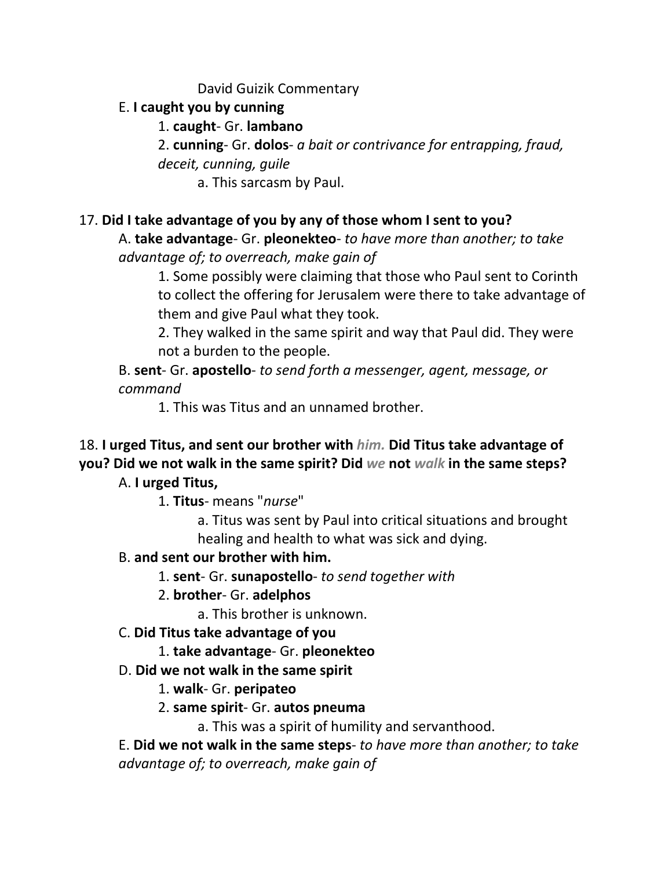#### David Guizik Commentary

## E. **I caught you by cunning**

#### 1. **caught**- Gr. **lambano**

2. **cunning**- Gr. **dolos**- *a bait or contrivance for entrapping, fraud, deceit, cunning, guile*

a. This sarcasm by Paul.

## 17. **Did I take advantage of you by any of those whom I sent to you?**

A. **take advantage**- Gr. **pleonekteo**- *to have more than another; to take advantage of; to overreach, make gain of*

1. Some possibly were claiming that those who Paul sent to Corinth to collect the offering for Jerusalem were there to take advantage of them and give Paul what they took.

2. They walked in the same spirit and way that Paul did. They were not a burden to the people.

B. **sent**- Gr. **apostello**- *to send forth a messenger, agent, message, or command*

1. This was Titus and an unnamed brother.

# 18. **I urged Titus, and sent our brother with** *him.* **Did Titus take advantage of you? Did we not walk in the same spirit? Did** *we* **not** *walk* **in the same steps?**

## A. **I urged Titus,**

1. **Titus**- means "*nurse*"

a. Titus was sent by Paul into critical situations and brought healing and health to what was sick and dying.

## B. **and sent our brother with him.**

- 1. **sent** Gr. **sunapostello** *to send together with*
- 2. **brother** Gr. **adelphos**
	- a. This brother is unknown.
- C. **Did Titus take advantage of you**
	- 1. **take advantage** Gr. **pleonekteo**
- D. **Did we not walk in the same spirit**
	- 1. **walk** Gr. **peripateo**
	- 2. **same spirit** Gr. **autos pneuma**

a. This was a spirit of humility and servanthood.

E. **Did we not walk in the same steps**- *to have more than another; to take advantage of; to overreach, make gain of*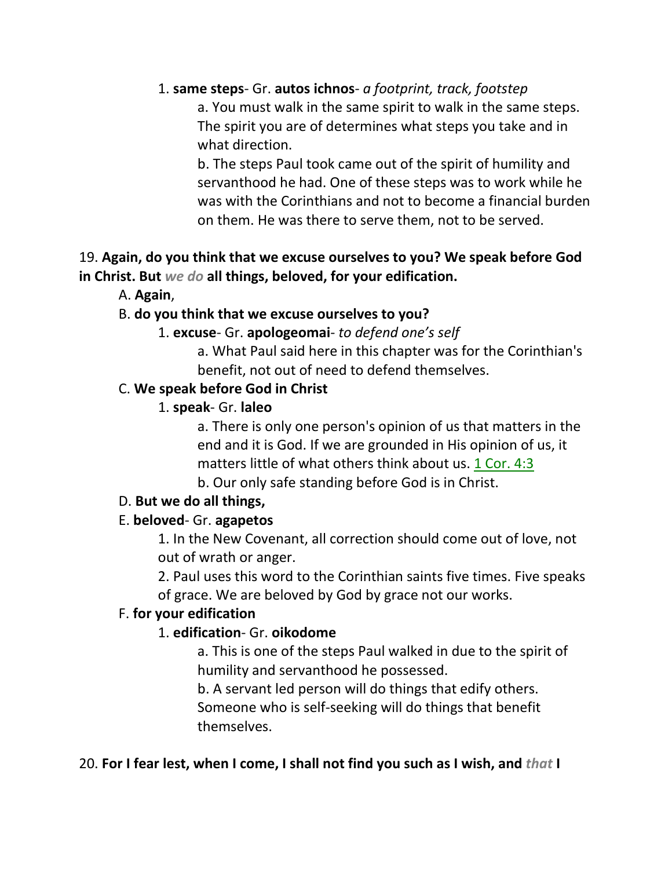#### 1. **same steps**- Gr. **autos ichnos**- *a footprint, track, footstep*

a. You must walk in the same spirit to walk in the same steps. The spirit you are of determines what steps you take and in what direction.

b. The steps Paul took came out of the spirit of humility and servanthood he had. One of these steps was to work while he was with the Corinthians and not to become a financial burden on them. He was there to serve them, not to be served.

## 19. **Again, do you think that we excuse ourselves to you? We speak before God in Christ. But** *we do* **all things, beloved, for your edification.**

A. **Again**,

#### B. **do you think that we excuse ourselves to you?**

#### 1. **excuse**- Gr. **apologeomai**- *to defend one's self*

a. What Paul said here in this chapter was for the Corinthian's benefit, not out of need to defend themselves.

#### C. **We speak before God in Christ**

#### 1. **speak**- Gr. **laleo**

a. There is only one person's opinion of us that matters in the end and it is God. If we are grounded in His opinion of us, it matters little of what others think about us. 1 Cor. 4:3

b. Our only safe standing before God is in Christ.

#### D. **But we do all things,**

#### E. **beloved**- Gr. **agapetos**

1. In the New Covenant, all correction should come out of love, not out of wrath or anger.

2. Paul uses this word to the Corinthian saints five times. Five speaks of grace. We are beloved by God by grace not our works.

#### F. **for your edification**

## 1. **edification**- Gr. **oikodome**

a. This is one of the steps Paul walked in due to the spirit of humility and servanthood he possessed.

b. A servant led person will do things that edify others. Someone who is self-seeking will do things that benefit themselves.

#### 20. **For I fear lest, when I come, I shall not find you such as I wish, and** *that* **I**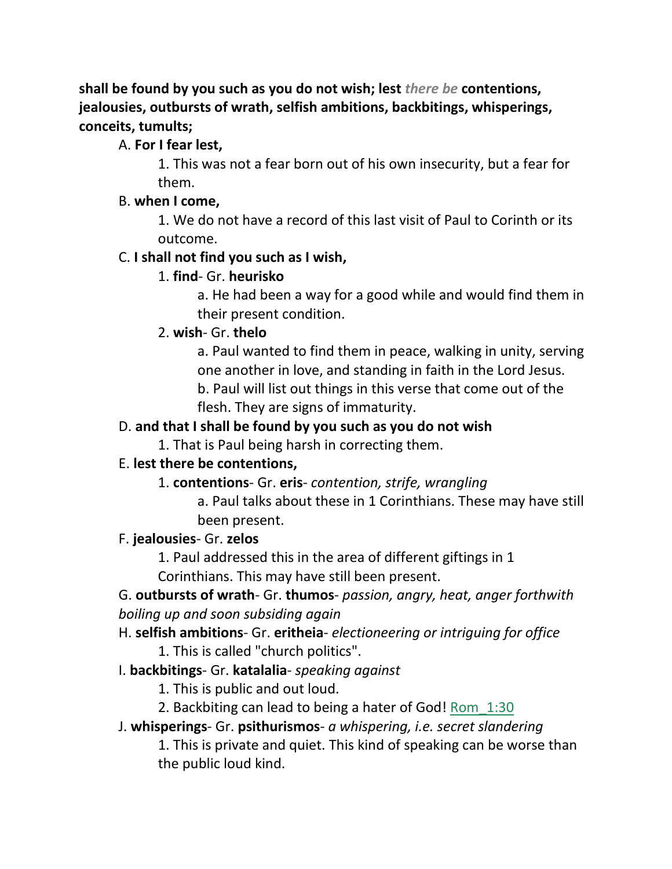**shall be found by you such as you do not wish; lest** *there be* **contentions, jealousies, outbursts of wrath, selfish ambitions, backbitings, whisperings, conceits, tumults;**

#### A. **For I fear lest,**

1. This was not a fear born out of his own insecurity, but a fear for them.

#### B. **when I come,**

1. We do not have a record of this last visit of Paul to Corinth or its outcome.

#### C. **I shall not find you such as I wish,**

## 1. **find**- Gr. **heurisko**

a. He had been a way for a good while and would find them in their present condition.

## 2. **wish**- Gr. **thelo**

a. Paul wanted to find them in peace, walking in unity, serving one another in love, and standing in faith in the Lord Jesus. b. Paul will list out things in this verse that come out of the flesh. They are signs of immaturity.

## D. **and that I shall be found by you such as you do not wish**

1. That is Paul being harsh in correcting them.

## E. **lest there be contentions,**

1. **contentions**- Gr. **eris**- *contention, strife, wrangling*

a. Paul talks about these in 1 Corinthians. These may have still been present.

## F. **jealousies**- Gr. **zelos**

1. Paul addressed this in the area of different giftings in 1

Corinthians. This may have still been present.

## G. **outbursts of wrath**- Gr. **thumos**- *passion, angry, heat, anger forthwith boiling up and soon subsiding again*

H. **selfish ambitions**- Gr. **eritheia**- *electioneering or intriguing for office* 1. This is called "church politics".

## I. **backbitings**- Gr. **katalalia**- *speaking against*

1. This is public and out loud.

- 2. Backbiting can lead to being a hater of God! Rom\_1:30
- J. **whisperings** Gr. **psithurismos** *a whispering, i.e. secret slandering*

1. This is private and quiet. This kind of speaking can be worse than the public loud kind.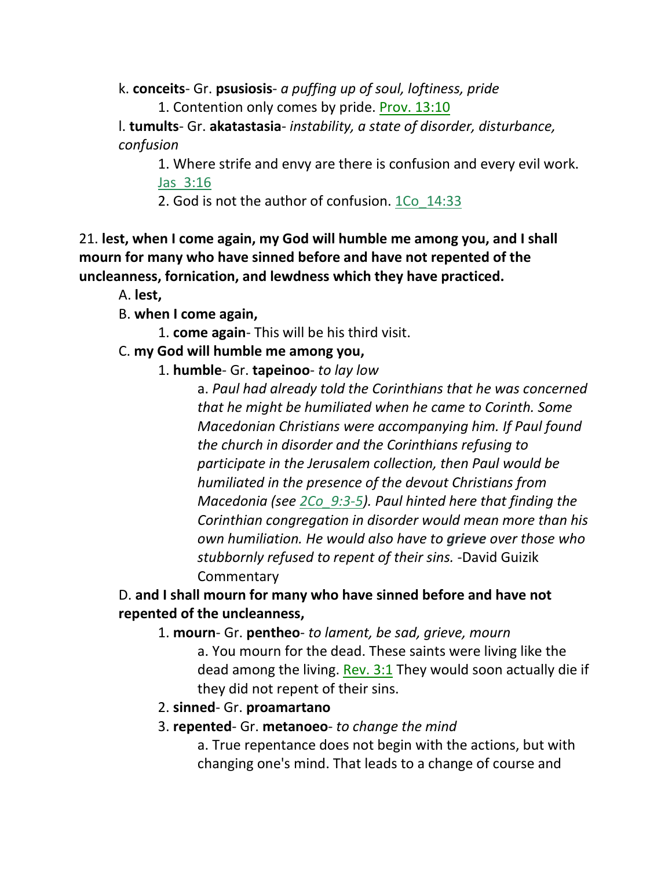k. **conceits**- Gr. **psusiosis**- *a puffing up of soul, loftiness, pride* 1. Contention only comes by pride. Prov. 13:10

l. **tumults**- Gr. **akatastasia**- *instability, a state of disorder, disturbance, confusion*

1. Where strife and envy are there is confusion and every evil work. Jas\_3:16

2. God is not the author of confusion. 1Co\_14:33

21. **lest, when I come again, my God will humble me among you, and I shall mourn for many who have sinned before and have not repented of the uncleanness, fornication, and lewdness which they have practiced.** 

A. **lest,**

B. **when I come again,**

1. **come again**- This will be his third visit.

# C. **my God will humble me among you,**

1. **humble**- Gr. **tapeinoo**- *to lay low*

a. *Paul had already told the Corinthians that he was concerned that he might be humiliated when he came to Corinth. Some Macedonian Christians were accompanying him. If Paul found the church in disorder and the Corinthians refusing to participate in the Jerusalem collection, then Paul would be humiliated in the presence of the devout Christians from Macedonia (see 2Co\_9:3-5). Paul hinted here that finding the Corinthian congregation in disorder would mean more than his own humiliation. He would also have to grieve over those who stubbornly refused to repent of their sins.* -David Guizik **Commentary** 

# D. **and I shall mourn for many who have sinned before and have not repented of the uncleanness,**

1. **mourn**- Gr. **pentheo**- *to lament, be sad, grieve, mourn*

a. You mourn for the dead. These saints were living like the dead among the living. Rev.  $3:1$  They would soon actually die if they did not repent of their sins.

2. **sinned**- Gr. **proamartano**

# 3. **repented**- Gr. **metanoeo**- *to change the mind*

a. True repentance does not begin with the actions, but with changing one's mind. That leads to a change of course and